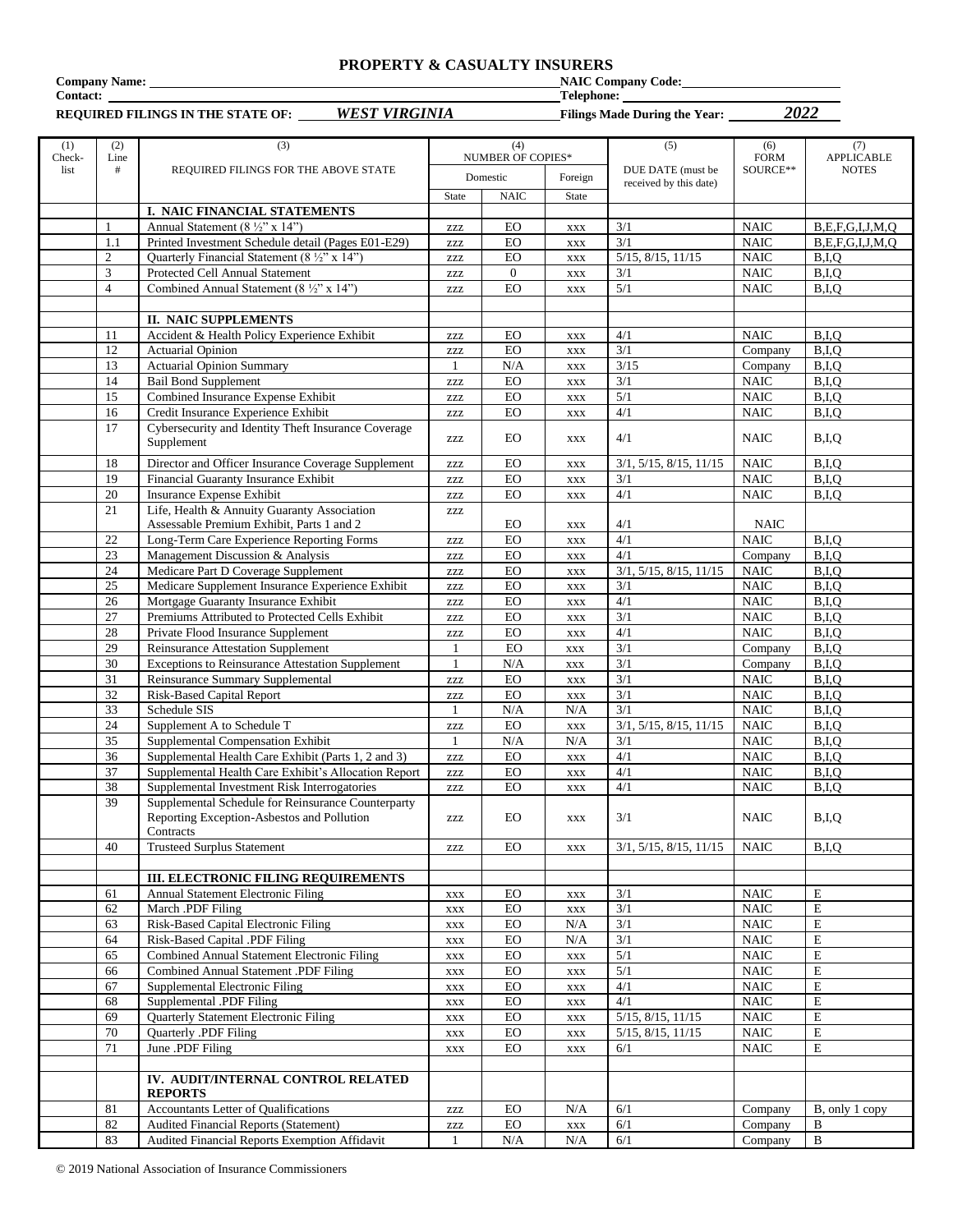#### **PROPERTY & CASUALTY INSURERS**

**Company Name:** NAIC Company Code: NAIC Company Code: NAIC Company Code: NAIC Company Code: NAIC Company Code: NAIC Company Code: NAIC Company Code: NAIC Company Code: NAIC Company Code: NAIC Company Code: NAIC Company Cod

**REQUIRED FILINGS IN THE STATE OF:** *WEST VIRGINIA* **Filings Made During the Year:** *2022*

 $Telephone:$ 

| (1)<br>Check- | (2)<br>Line    | (3)                                                                     | (4)<br>NUMBER OF COPIES*         |                   |                          | (5)                           | (6)<br><b>FORM</b>         | (7)<br>APPLICABLE        |
|---------------|----------------|-------------------------------------------------------------------------|----------------------------------|-------------------|--------------------------|-------------------------------|----------------------------|--------------------------|
| list          | #              | REQUIRED FILINGS FOR THE ABOVE STATE                                    |                                  | Domestic          | Foreign                  | DUE DATE (must be             | SOURCE**                   | <b>NOTES</b>             |
|               |                |                                                                         | State                            | <b>NAIC</b>       | State                    | received by this date)        |                            |                          |
|               |                | <b>I. NAIC FINANCIAL STATEMENTS</b>                                     |                                  |                   |                          |                               |                            |                          |
|               | -1             | Annual Statement (8 $\frac{1}{2}$ " x 14")                              | ZZZ                              | EO                | <b>XXX</b>               | 3/1                           | <b>NAIC</b>                | B.E.F.G.I.J.M.Q          |
|               | 1.1            | Printed Investment Schedule detail (Pages E01-E29)                      | $\ensuremath{\text{ZZZ}}$        | EO                | <b>XXX</b>               | 3/1                           | <b>NAIC</b>                | B,E,F,G,I,J,M,Q          |
|               | $\overline{c}$ | Quarterly Financial Statement (8 ½" x 14")                              | <b>ZZZ</b>                       | EO                | <b>XXX</b>               | 5/15, 8/15, 11/15             | <b>NAIC</b>                | B,I,Q                    |
|               | 3              | Protected Cell Annual Statement                                         | ZZZ                              | $\overline{0}$    | <b>XXX</b>               | 3/1                           | $\rm NAIC$                 | B,I,Q                    |
|               | $\overline{4}$ | Combined Annual Statement (8 ½" x 14")                                  | ZZZ                              | EO                | <b>XXX</b>               | 5/1                           | <b>NAIC</b>                | B,I,Q                    |
|               |                |                                                                         |                                  |                   |                          |                               |                            |                          |
|               |                | <b>II. NAIC SUPPLEMENTS</b>                                             |                                  |                   |                          |                               |                            |                          |
|               | 11             | Accident & Health Policy Experience Exhibit                             | ZZZ                              | EO                | $\mathbf{XXX}$           | 4/1                           | <b>NAIC</b>                | B.I.O                    |
|               | 12             | <b>Actuarial Opinion</b>                                                | $\ensuremath{\text{ZZZ}}$        | EO                | $\mathbf{XXX}$           | 3/1                           | Company                    | B.I.O                    |
|               | 13<br>14       | <b>Actuarial Opinion Summary</b><br><b>Bail Bond Supplement</b>         | 1                                | N/A<br>EO         | $\mathbf{XXX}$           | 3/15<br>3/1                   | Company<br><b>NAIC</b>     | B,I,Q<br>B,I,Q           |
|               | 15             | Combined Insurance Expense Exhibit                                      | ZZZ<br><b>ZZZ</b>                | EO                | <b>XXX</b><br><b>XXX</b> | 5/1                           | <b>NAIC</b>                | B,I,Q                    |
|               | 16             | Credit Insurance Experience Exhibit                                     | ZZZ                              | EO                | <b>XXX</b>               | 4/1                           | <b>NAIC</b>                | B,I,Q                    |
|               | 17             | Cybersecurity and Identity Theft Insurance Coverage                     |                                  |                   |                          |                               |                            |                          |
|               |                | Supplement                                                              | ZZZ                              | EO                | XXX                      | 4/1                           | <b>NAIC</b>                | B,I,Q                    |
|               | 18             | Director and Officer Insurance Coverage Supplement                      |                                  | EO                |                          |                               | <b>NAIC</b>                | B,I,Q                    |
|               | 19             | Financial Guaranty Insurance Exhibit                                    | ZZZ                              | EO                | <b>XXX</b>               | 3/1, 5/15, 8/15, 11/15<br>3/1 | <b>NAIC</b>                | B,I,Q                    |
|               | 20             | Insurance Expense Exhibit                                               | $\ensuremath{\text{ZZZ}}$<br>ZZZ | EO                | <b>XXX</b><br><b>XXX</b> | 4/1                           | <b>NAIC</b>                | B,I,Q                    |
|               | 21             | Life, Health & Annuity Guaranty Association                             | ZZZ                              |                   |                          |                               |                            |                          |
|               |                | Assessable Premium Exhibit, Parts 1 and 2                               |                                  | EO                | <b>XXX</b>               | 4/1                           | <b>NAIC</b>                |                          |
|               | 22             | Long-Term Care Experience Reporting Forms                               | ZZZ                              | <b>EO</b>         | <b>XXX</b>               | 4/1                           | <b>NAIC</b>                | B,I,Q                    |
|               | 23             | Management Discussion & Analysis                                        | <b>ZZZ</b>                       | EO                | <b>XXX</b>               | 4/1                           | Company                    | B,I,Q                    |
|               | 24             | Medicare Part D Coverage Supplement                                     | ZZZ                              | EO                | <b>XXX</b>               | 3/1, 5/15, 8/15, 11/15        | <b>NAIC</b>                | B,I,Q                    |
|               | 25             | Medicare Supplement Insurance Experience Exhibit                        | ZZZ                              | EO                | <b>XXX</b>               | 3/1                           | <b>NAIC</b>                | B,I,Q                    |
|               | 26             | Mortgage Guaranty Insurance Exhibit                                     | $\ensuremath{\text{ZZZ}}$        | EO                | XXX                      | 4/1                           | <b>NAIC</b>                | B,I,Q                    |
|               | 27             | Premiums Attributed to Protected Cells Exhibit                          | <b>ZZZ</b>                       | EO                | <b>XXX</b>               | 3/1                           | <b>NAIC</b>                | B,I,Q                    |
|               | 28             | Private Flood Insurance Supplement                                      | $\ensuremath{\text{ZZZ}}$        | ${\rm EO}$        | <b>XXX</b>               | 4/1                           | <b>NAIC</b>                | B,I,Q                    |
|               | 29             | <b>Reinsurance Attestation Supplement</b>                               | 1                                | EO                | <b>XXX</b>               | 3/1                           | Company                    | B,I,Q                    |
|               | 30             | <b>Exceptions to Reinsurance Attestation Supplement</b>                 | $\mathbf{1}$                     | N/A               | XXX                      | 3/1                           | Company                    | B,I,Q                    |
|               | 31             | Reinsurance Summary Supplemental                                        | ZZZ                              | EO                | <b>XXX</b>               | 3/1                           | <b>NAIC</b>                | B,I,Q                    |
|               | 32             | Risk-Based Capital Report                                               | ZZZ                              | EO                | <b>XXX</b>               | 3/1                           | <b>NAIC</b>                | B,I,Q                    |
|               | 33             | Schedule SIS                                                            | $\overline{1}$                   | N/A<br>${\rm EO}$ | N/A                      | 3/1                           | <b>NAIC</b><br><b>NAIC</b> | B,I,Q                    |
|               | 24<br>35       | Supplement A to Schedule T<br>Supplemental Compensation Exhibit         | ZZZ                              | N/A               | <b>XXX</b><br>N/A        | 3/1, 5/15, 8/15, 11/15<br>3/1 | <b>NAIC</b>                | B,I,Q<br>B,I,Q           |
|               | 36             | Supplemental Health Care Exhibit (Parts 1, 2 and 3)                     | -1<br>$\ensuremath{\text{ZZZ}}$  | EO                | <b>XXX</b>               | 4/1                           | <b>NAIC</b>                | B,I,Q                    |
|               | 37             | Supplemental Health Care Exhibit's Allocation Report                    | <b>ZZZ</b>                       | <b>EO</b>         | <b>XXX</b>               | 4/1                           | <b>NAIC</b>                | B,I,Q                    |
|               | 38             | Supplemental Investment Risk Interrogatories                            | $\ensuremath{\text{ZZZ}}$        | EO                | <b>XXX</b>               | 4/1                           | <b>NAIC</b>                | B,I,Q                    |
|               | 39             | Supplemental Schedule for Reinsurance Counterparty                      |                                  |                   |                          |                               |                            |                          |
|               |                | Reporting Exception-Asbestos and Pollution                              | ZZZ                              | EO                | <b>XXX</b>               | 3/1                           | <b>NAIC</b>                | B,I,Q                    |
|               |                | Contracts                                                               |                                  |                   |                          |                               |                            |                          |
|               | 40             | <b>Trusteed Surplus Statement</b>                                       | ZZZ                              | EO                | <b>XXX</b>               | 3/1, 5/15, 8/15, 11/15        | <b>NAIC</b>                | B.I.O                    |
|               |                |                                                                         |                                  |                   |                          |                               |                            |                          |
|               |                | <b>III. ELECTRONIC FILING REQUIREMENTS</b>                              |                                  |                   |                          |                               |                            |                          |
|               | 61             | Annual Statement Electronic Filing                                      | $\mathbf{XXX}$                   | $_{\rm EO}$       | <b>XXX</b>               | 3/1                           | <b>NAIC</b>                | E                        |
|               | 62             | March .PDF Filing                                                       | $\mathbf{XXX}$                   | EO                | <b>XXX</b>               | 3/1                           | <b>NAIC</b>                | $\mathbf E$              |
|               | 63             | Risk-Based Capital Electronic Filing                                    | XXX                              | EO                | N/A                      | 3/1                           | <b>NAIC</b>                | $\mathbf E$              |
|               | 64             | Risk-Based Capital .PDF Filing                                          | <b>XXX</b>                       | $_{\rm EO}$       | N/A                      | 3/1                           | <b>NAIC</b>                | $\mathbf E$              |
|               | 65             | Combined Annual Statement Electronic Filing                             | <b>XXX</b>                       | $_{\rm EO}$       | <b>XXX</b>               | 5/1                           | <b>NAIC</b>                | $\mathbf E$              |
|               | 66<br>67       | Combined Annual Statement .PDF Filing<br>Supplemental Electronic Filing | XXX                              | EO<br>EO          | $\mathbf{XXX}$           | 5/1<br>4/1                    | <b>NAIC</b><br><b>NAIC</b> | $\mathbf E$<br>${\bf E}$ |
|               | 68             | Supplemental .PDF Filing                                                | XXX<br>$\mathbf{XXX}$            | $_{\rm EO}$       | <b>XXX</b><br><b>XXX</b> | 4/1                           | <b>NAIC</b>                | ${\bf E}$                |
|               | 69             | Quarterly Statement Electronic Filing                                   | XXX                              | $_{\rm EO}$       | <b>XXX</b>               | 5/15, 8/15, 11/15             | <b>NAIC</b>                | $\mathbf E$              |
|               | 70             | Quarterly .PDF Filing                                                   | XXX                              | EO                | <b>XXX</b>               | $5/15$ , $8/15$ , $11/15$     | <b>NAIC</b>                | ${\bf E}$                |
|               | 71             | June .PDF Filing                                                        | $\mathbf{XXX}$                   | EO                | $\mathbf{XXX}$           | 6/1                           | <b>NAIC</b>                | E                        |
|               |                |                                                                         |                                  |                   |                          |                               |                            |                          |
|               |                | IV. AUDIT/INTERNAL CONTROL RELATED                                      |                                  |                   |                          |                               |                            |                          |
|               |                | <b>REPORTS</b>                                                          |                                  |                   |                          |                               |                            |                          |
|               | 81             | Accountants Letter of Qualifications                                    | ZZZ                              | $_{\rm EO}$       | N/A                      | 6/1                           | Company                    | B, only 1 copy           |
|               | 82             | <b>Audited Financial Reports (Statement)</b>                            | $\ensuremath{\text{ZZZ}}$        | EO                | $\mathbf{XXX}$           | 6/1                           | Company                    | B                        |
|               | 83             | Audited Financial Reports Exemption Affidavit                           |                                  | $\rm N/A$         | N/A                      | 6/1                           | Company                    | B                        |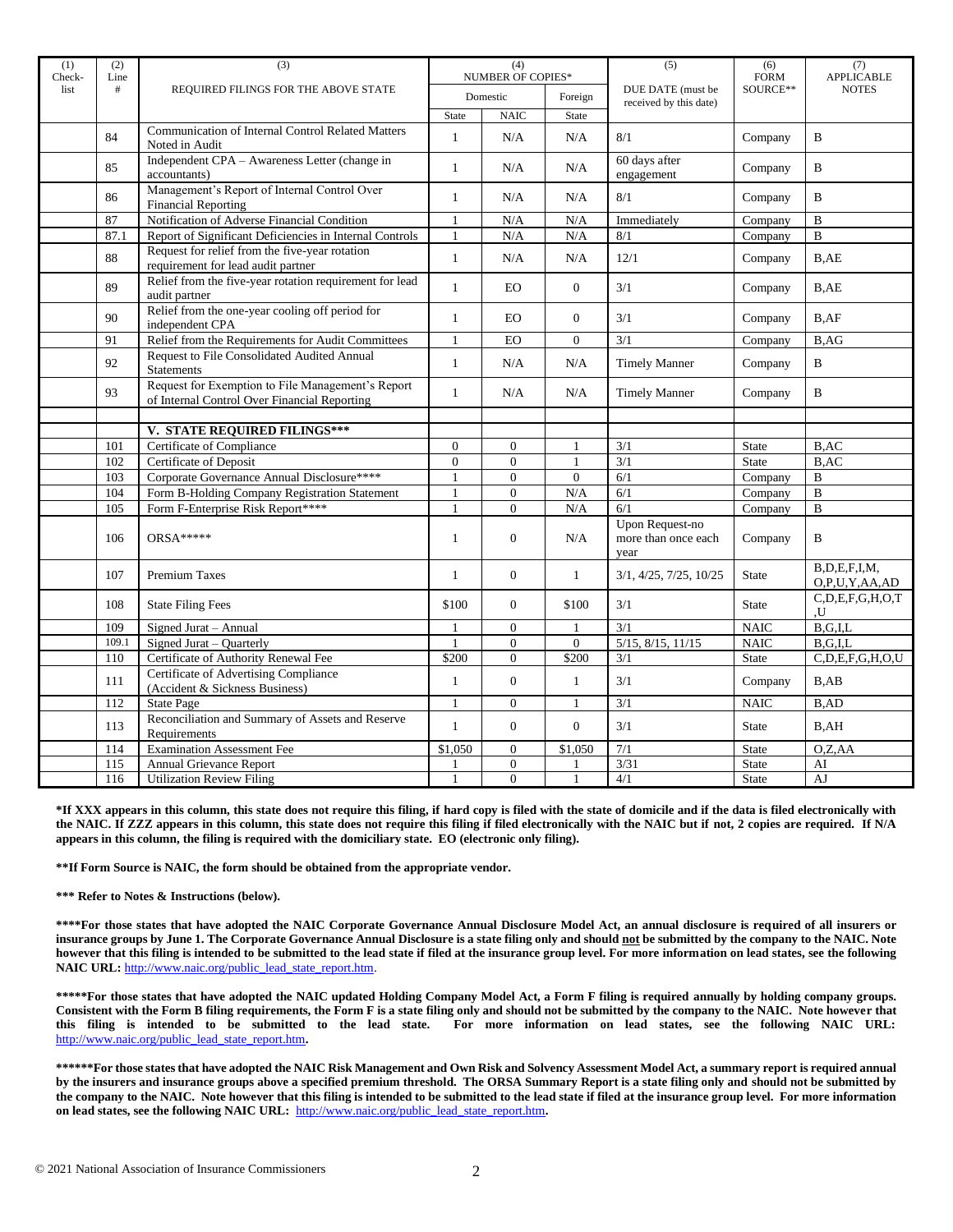| (1)<br>Check- | (2)<br>Line | (3)                                                                                               | (4)<br><b>NUMBER OF COPIES*</b><br>Domestic |                  |                  | (5)                                                   | (6)<br><b>FORM</b><br>SOURCE** | (7)<br><b>APPLICABLE</b>      |
|---------------|-------------|---------------------------------------------------------------------------------------------------|---------------------------------------------|------------------|------------------|-------------------------------------------------------|--------------------------------|-------------------------------|
| list          | #           | REQUIRED FILINGS FOR THE ABOVE STATE                                                              |                                             |                  | Foreign          | DUE DATE (must be<br>received by this date)           |                                | <b>NOTES</b>                  |
|               |             |                                                                                                   | <b>State</b>                                | <b>NAIC</b>      | State            |                                                       |                                |                               |
|               | 84          | <b>Communication of Internal Control Related Matters</b><br>Noted in Audit                        | $\mathbf{1}$                                | N/A              | N/A              | 8/1                                                   | Company                        | B                             |
|               | 85          | Independent CPA - Awareness Letter (change in<br>accountants)                                     | $\mathbf{1}$                                | N/A              | N/A              | 60 days after<br>engagement                           | Company                        | $\mathbf B$                   |
|               | 86          | Management's Report of Internal Control Over<br><b>Financial Reporting</b>                        | $\mathbf{1}$                                | N/A              | N/A              | 8/1                                                   | Company                        | $\mathbf B$                   |
|               | 87          | Notification of Adverse Financial Condition                                                       | $\mathbf{1}$                                | N/A              | N/A              | Immediately                                           | Company                        | $\, {\bf B}$                  |
|               | 87.1        | Report of Significant Deficiencies in Internal Controls                                           | $\mathbf{1}$                                | N/A              | N/A              | 8/1                                                   | Company                        | $\overline{B}$                |
|               | 88          | Request for relief from the five-year rotation<br>requirement for lead audit partner              | $\mathbf{1}$                                | N/A              | N/A              | 12/1                                                  | Company                        | B,AE                          |
|               | 89          | Relief from the five-year rotation requirement for lead<br>audit partner                          | $\mathbf{1}$                                | <b>EO</b>        | $\overline{0}$   | 3/1                                                   | Company                        | B,AE                          |
|               | 90          | Relief from the one-year cooling off period for<br>independent CPA                                | $\mathbf{1}$                                | <b>EO</b>        | $\overline{0}$   | 3/1                                                   | Company                        | B, AF                         |
|               | 91          | Relief from the Requirements for Audit Committees                                                 | $\mathbf{1}$                                | EO               | $\boldsymbol{0}$ | 3/1                                                   | Company                        | B,AG                          |
|               | 92          | Request to File Consolidated Audited Annual<br><b>Statements</b>                                  | $\mathbf{1}$                                | N/A              | N/A              | <b>Timely Manner</b>                                  | Company                        | $\, {\bf B}$                  |
|               | 93          | Request for Exemption to File Management's Report<br>of Internal Control Over Financial Reporting | $\mathbf{1}$                                | N/A              | N/A              | <b>Timely Manner</b>                                  | Company                        | B                             |
|               |             |                                                                                                   |                                             |                  |                  |                                                       |                                |                               |
|               |             | V. STATE REQUIRED FILINGS***                                                                      |                                             |                  |                  |                                                       |                                |                               |
|               | 101         | Certificate of Compliance                                                                         | $\overline{0}$                              | $\overline{0}$   |                  | 3/1                                                   | <b>State</b>                   | B, AC                         |
|               | 102         | Certificate of Deposit                                                                            | $\boldsymbol{0}$                            | $\boldsymbol{0}$ | $\mathbf{1}$     | 3/1                                                   | State                          | B, AC                         |
|               | 103         | Corporate Governance Annual Disclosure****                                                        | $\mathbf{1}$                                | $\overline{0}$   | $\overline{0}$   | 6/1                                                   | Company                        | $\bf{B}$                      |
|               | 104         | Form B-Holding Company Registration Statement                                                     | $\mathbf{1}$<br>$\mathbf{1}$                | $\overline{0}$   | N/A              | 6/1                                                   | Company                        | $\bf{B}$                      |
|               | 105         | Form F-Enterprise Risk Report****                                                                 |                                             | $\overline{0}$   | N/A              | 6/1                                                   | $\overline{\mathrm{Comp}}$ any | $\mathbf{B}$                  |
|               | 106         | ORSA*****                                                                                         | $\mathbf{1}$                                | $\Omega$         | N/A              | <b>Upon Request-no</b><br>more than once each<br>year | Company                        | B                             |
|               | 107         | Premium Taxes                                                                                     | $\mathbf{1}$                                | $\overline{0}$   | $\mathbf{1}$     | 3/1, 4/25, 7/25, 10/25                                | <b>State</b>                   | B,D,E,F,I,M,<br>O,P,U,Y,AA,AD |
|               | 108         | <b>State Filing Fees</b>                                                                          | \$100                                       | $\Omega$         | \$100            | 3/1                                                   | <b>State</b>                   | C, D, E, F, G, H, O, T<br>U.  |
|               | 109         | Signed Jurat - Annual                                                                             | $\mathbf{1}$                                | $\Omega$         | 1                | 3/1                                                   | <b>NAIC</b>                    | B,G,I,L                       |
|               | 109.1       | Signed Jurat - Quarterly                                                                          | $\overline{1}$                              | $\overline{0}$   | $\overline{0}$   | 5/15, 8/15, 11/15                                     | <b>NAIC</b>                    | $B$ , $G$ , $I$ , $L$         |
|               | 110         | Certificate of Authority Renewal Fee                                                              | \$200                                       | $\overline{0}$   | \$200            | 3/1                                                   | State                          | C, D, E, F, G, H, O, U        |
|               | 111         | Certificate of Advertising Compliance<br>(Accident & Sickness Business)                           | $\mathbf{1}$                                | $\overline{0}$   | $\mathbf{1}$     | 3/1                                                   | Company                        | B, AB                         |
|               | 112         | <b>State Page</b>                                                                                 | $\mathbf{1}$                                | $\overline{0}$   | $\mathbf{1}$     | 3/1                                                   | <b>NAIC</b>                    | B,AD                          |
|               | 113         | Reconciliation and Summary of Assets and Reserve<br>Requirements                                  | $\mathbf{1}$                                | $\overline{0}$   | $\overline{0}$   | 3/1                                                   | State                          | B,AH                          |
|               | 114         | <b>Examination Assessment Fee</b>                                                                 | \$1,050                                     | $\overline{0}$   | \$1,050          | 7/1                                                   | <b>State</b>                   | O.Z,AA                        |
|               | 115         | Annual Grievance Report                                                                           |                                             | $\boldsymbol{0}$ |                  | 3/31                                                  | State                          | AI                            |
|               | 116         | <b>Utilization Review Filing</b>                                                                  | $\mathbf{1}$                                | $\overline{0}$   | $\mathbf{1}$     | 4/1                                                   | <b>State</b>                   | AJ                            |

**\*If XXX appears in this column, this state does not require this filing, if hard copy is filed with the state of domicile and if the data is filed electronically with the NAIC. If ZZZ appears in this column, this state does not require this filing if filed electronically with the NAIC but if not, 2 copies are required. If N/A appears in this column, the filing is required with the domiciliary state. EO (electronic only filing).**

**\*\*If Form Source is NAIC, the form should be obtained from the appropriate vendor.** 

**\*\*\* Refer to Notes & Instructions (below).**

**\*\*\*\*For those states that have adopted the NAIC Corporate Governance Annual Disclosure Model Act, an annual disclosure is required of all insurers or insurance groups by June 1. The Corporate Governance Annual Disclosure is a state filing only and should not be submitted by the company to the NAIC. Note however that this filing is intended to be submitted to the lead state if filed at the insurance group level. For more information on lead states, see the following NAIC URL:** [http://www.naic.org/public\\_lead\\_state\\_report.htm.](http://www.naic.org/public_lead_state_report.htm)

**\*\*\*\*\*For those states that have adopted the NAIC updated Holding Company Model Act, a Form F filing is required annually by holding company groups. Consistent with the Form B filing requirements, the Form F is a state filing only and should not be submitted by the company to the NAIC. Note however that this filing is intended to be submitted to the lead state. For more information on lead states, see the following NAIC URL:**  [http://www.naic.org/public\\_lead\\_state\\_report.htm](http://www.naic.org/public_lead_state_report.htm)**.** 

**\*\*\*\*\*\*For those states that have adopted the NAIC Risk Management and Own Risk and Solvency Assessment Model Act, a summary report is required annual by the insurers and insurance groups above a specified premium threshold. The ORSA Summary Report is a state filing only and should not be submitted by the company to the NAIC. Note however that this filing is intended to be submitted to the lead state if filed at the insurance group level. For more information on lead states, see the following NAIC URL:** [http://www.naic.org/public\\_lead\\_state\\_report.htm](http://www.naic.org/public_lead_state_report.htm)**.**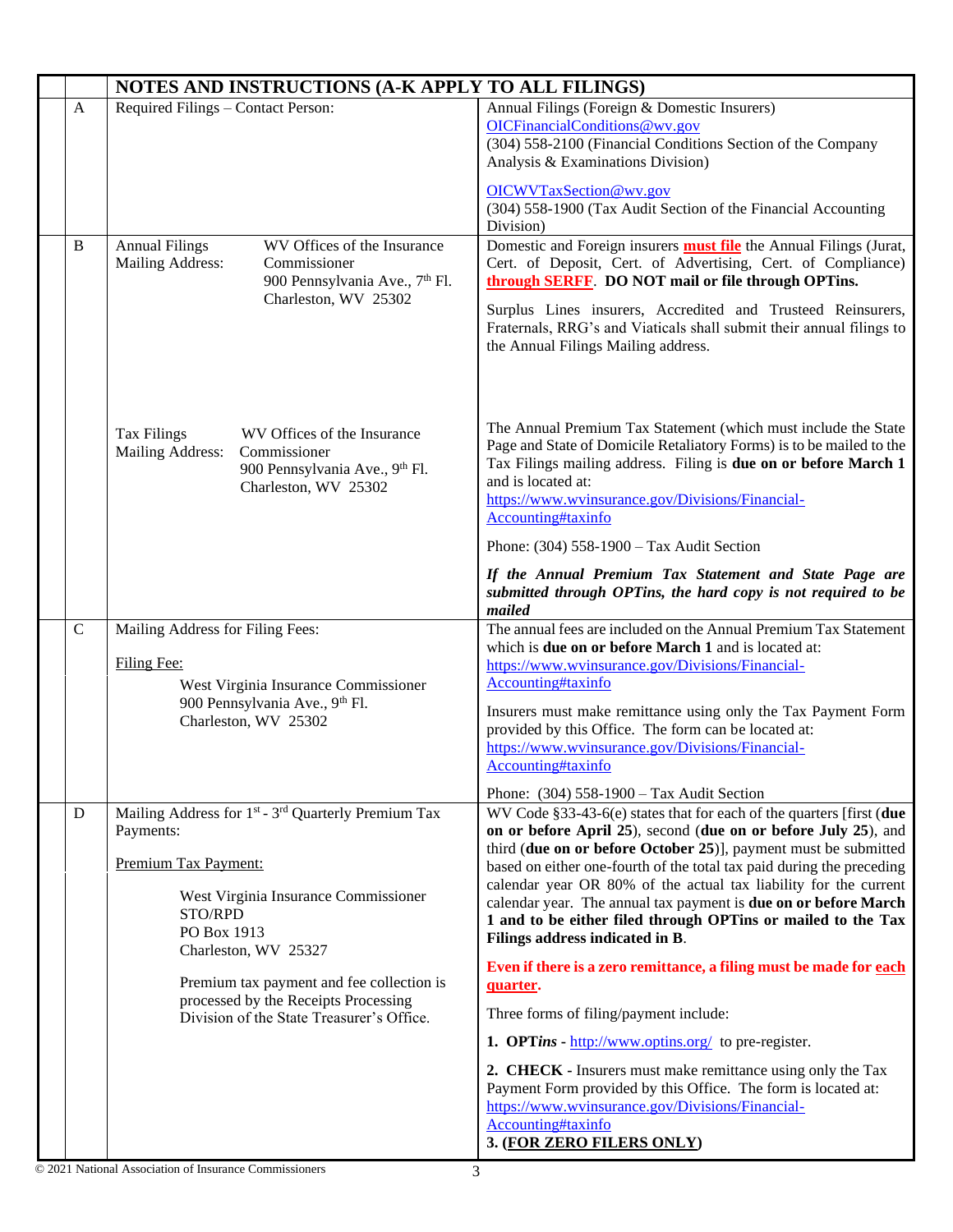|              | NOTES AND INSTRUCTIONS (A-K APPLY TO ALL FILINGS)                                                                                                                                                                                                                                                                                            |                                                                                                                                                                                                                                                                                                                                                                                                                                                                                                                                                                                                                                                                                                                                                                                                                                                                                                                                                                                                                                                |  |  |
|--------------|----------------------------------------------------------------------------------------------------------------------------------------------------------------------------------------------------------------------------------------------------------------------------------------------------------------------------------------------|------------------------------------------------------------------------------------------------------------------------------------------------------------------------------------------------------------------------------------------------------------------------------------------------------------------------------------------------------------------------------------------------------------------------------------------------------------------------------------------------------------------------------------------------------------------------------------------------------------------------------------------------------------------------------------------------------------------------------------------------------------------------------------------------------------------------------------------------------------------------------------------------------------------------------------------------------------------------------------------------------------------------------------------------|--|--|
| $\mathbf{A}$ | Required Filings - Contact Person:                                                                                                                                                                                                                                                                                                           | Annual Filings (Foreign & Domestic Insurers)<br>OICFinancialConditions@wv.gov<br>(304) 558-2100 (Financial Conditions Section of the Company<br>Analysis & Examinations Division)<br>OICWVTaxSection@wv.gov<br>(304) 558-1900 (Tax Audit Section of the Financial Accounting<br>Division)                                                                                                                                                                                                                                                                                                                                                                                                                                                                                                                                                                                                                                                                                                                                                      |  |  |
| B            | WV Offices of the Insurance<br><b>Annual Filings</b><br>Mailing Address:<br>Commissioner<br>900 Pennsylvania Ave., 7th Fl.<br>Charleston, WV 25302                                                                                                                                                                                           | Domestic and Foreign insurers <b>must file</b> the Annual Filings (Jurat,<br>Cert. of Deposit, Cert. of Advertising, Cert. of Compliance)<br>through SERFF. DO NOT mail or file through OPTins.<br>Surplus Lines insurers, Accredited and Trusteed Reinsurers,<br>Fraternals, RRG's and Viaticals shall submit their annual filings to<br>the Annual Filings Mailing address.                                                                                                                                                                                                                                                                                                                                                                                                                                                                                                                                                                                                                                                                  |  |  |
|              | <b>Tax Filings</b><br>WV Offices of the Insurance<br>Mailing Address:<br>Commissioner<br>900 Pennsylvania Ave., 9th Fl.<br>Charleston, WV 25302                                                                                                                                                                                              | The Annual Premium Tax Statement (which must include the State<br>Page and State of Domicile Retaliatory Forms) is to be mailed to the<br>Tax Filings mailing address. Filing is due on or before March 1<br>and is located at:<br>https://www.wvinsurance.gov/Divisions/Financial-<br>Accounting#taxinfo<br>Phone: $(304)$ 558-1900 – Tax Audit Section<br>If the Annual Premium Tax Statement and State Page are<br>submitted through OPTins, the hard copy is not required to be                                                                                                                                                                                                                                                                                                                                                                                                                                                                                                                                                            |  |  |
| $\mathbf C$  | Mailing Address for Filing Fees:<br>Filing Fee:<br>West Virginia Insurance Commissioner<br>900 Pennsylvania Ave., 9th Fl.<br>Charleston, WV 25302                                                                                                                                                                                            | mailed<br>The annual fees are included on the Annual Premium Tax Statement<br>which is due on or before March 1 and is located at:<br>https://www.wvinsurance.gov/Divisions/Financial-<br>Accounting#taxinfo<br>Insurers must make remittance using only the Tax Payment Form<br>provided by this Office. The form can be located at:<br>https://www.wvinsurance.gov/Divisions/Financial-<br>Accounting#taxinfo                                                                                                                                                                                                                                                                                                                                                                                                                                                                                                                                                                                                                                |  |  |
| ${\bf D}$    | Mailing Address for 1 <sup>st</sup> - 3 <sup>rd</sup> Quarterly Premium Tax<br>Payments:<br>Premium Tax Payment:<br>West Virginia Insurance Commissioner<br>STO/RPD<br>PO Box 1913<br>Charleston, WV 25327<br>Premium tax payment and fee collection is<br>processed by the Receipts Processing<br>Division of the State Treasurer's Office. | Phone: $(304)$ 558-1900 – Tax Audit Section<br>WV Code §33-43-6(e) states that for each of the quarters [first (due<br>on or before April 25), second (due on or before July 25), and<br>third (due on or before October 25)], payment must be submitted<br>based on either one-fourth of the total tax paid during the preceding<br>calendar year OR 80% of the actual tax liability for the current<br>calendar year. The annual tax payment is due on or before March<br>1 and to be either filed through OPTins or mailed to the Tax<br>Filings address indicated in B.<br>Even if there is a zero remittance, a filing must be made for each<br>quarter.<br>Three forms of filing/payment include:<br><b>1. OPTins -</b> $\frac{http://www.optins.org/}{http://www.optins.org/})$ to pre-register.<br>2. CHECK - Insurers must make remittance using only the Tax<br>Payment Form provided by this Office. The form is located at:<br>https://www.wvinsurance.gov/Divisions/Financial-<br>Accounting#taxinfo<br>3. (FOR ZERO FILERS ONLY) |  |  |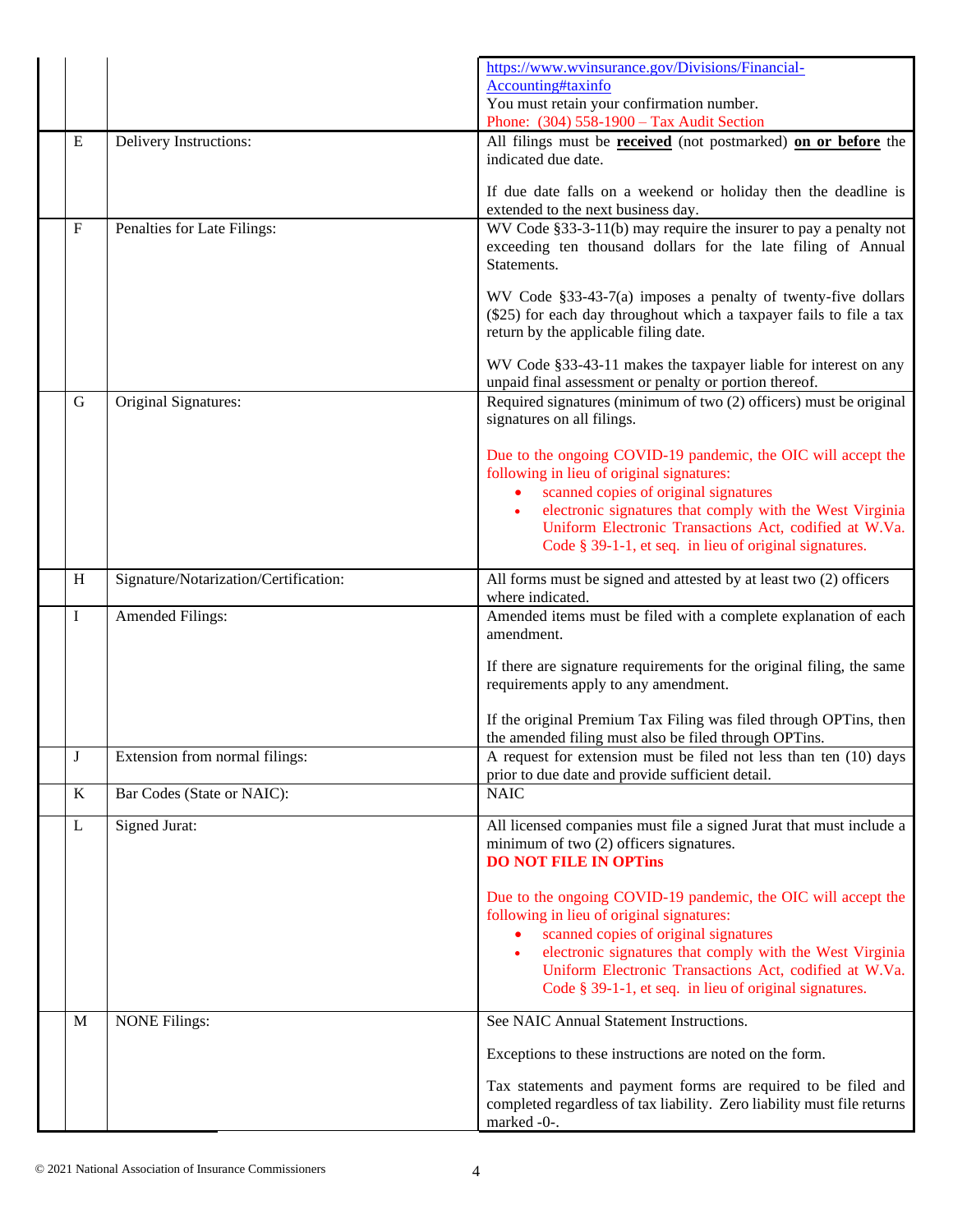|             |                                       | https://www.wvinsurance.gov/Divisions/Financial-<br>Accounting#taxinfo<br>You must retain your confirmation number.<br>Phone: (304) 558-1900 - Tax Audit Section                                                                                                                                                                        |
|-------------|---------------------------------------|-----------------------------------------------------------------------------------------------------------------------------------------------------------------------------------------------------------------------------------------------------------------------------------------------------------------------------------------|
| ${\bf E}$   | Delivery Instructions:                | All filings must be <b>received</b> (not postmarked) on or before the<br>indicated due date.                                                                                                                                                                                                                                            |
|             |                                       | If due date falls on a weekend or holiday then the deadline is<br>extended to the next business day.                                                                                                                                                                                                                                    |
| $\mathbf F$ | Penalties for Late Filings:           | WV Code §33-3-11(b) may require the insurer to pay a penalty not<br>exceeding ten thousand dollars for the late filing of Annual<br>Statements.                                                                                                                                                                                         |
|             |                                       | WV Code §33-43-7(a) imposes a penalty of twenty-five dollars<br>(\$25) for each day throughout which a taxpayer fails to file a tax<br>return by the applicable filing date.                                                                                                                                                            |
|             |                                       | WV Code §33-43-11 makes the taxpayer liable for interest on any<br>unpaid final assessment or penalty or portion thereof.                                                                                                                                                                                                               |
| G           | Original Signatures:                  | Required signatures (minimum of two (2) officers) must be original<br>signatures on all filings.                                                                                                                                                                                                                                        |
|             |                                       | Due to the ongoing COVID-19 pandemic, the OIC will accept the<br>following in lieu of original signatures:<br>scanned copies of original signatures<br>electronic signatures that comply with the West Virginia<br>Uniform Electronic Transactions Act, codified at W.Va.<br>Code § 39-1-1, et seq. in lieu of original signatures.     |
| H           | Signature/Notarization/Certification: | All forms must be signed and attested by at least two (2) officers<br>where indicated.                                                                                                                                                                                                                                                  |
| I           | <b>Amended Filings:</b>               | Amended items must be filed with a complete explanation of each<br>amendment.                                                                                                                                                                                                                                                           |
|             |                                       | If there are signature requirements for the original filing, the same<br>requirements apply to any amendment.                                                                                                                                                                                                                           |
|             |                                       | If the original Premium Tax Filing was filed through OPTins, then<br>the amended filing must also be filed through OPTins.                                                                                                                                                                                                              |
| J           | Extension from normal filings:        | A request for extension must be filed not less than ten (10) days<br>prior to due date and provide sufficient detail.                                                                                                                                                                                                                   |
| K           | Bar Codes (State or NAIC):            | <b>NAIC</b>                                                                                                                                                                                                                                                                                                                             |
| L           | Signed Jurat:                         | All licensed companies must file a signed Jurat that must include a<br>minimum of two (2) officers signatures.<br><b>DO NOT FILE IN OPTINS</b>                                                                                                                                                                                          |
|             |                                       | Due to the ongoing COVID-19 pandemic, the OIC will accept the<br>following in lieu of original signatures:<br>scanned copies of original signatures<br>electronic signatures that comply with the West Virginia<br>Uniform Electronic Transactions Act, codified at W.Va.<br>Code $\S 39-1-1$ , et seq. in lieu of original signatures. |
| M           | <b>NONE Filings:</b>                  | See NAIC Annual Statement Instructions.                                                                                                                                                                                                                                                                                                 |
|             |                                       | Exceptions to these instructions are noted on the form.                                                                                                                                                                                                                                                                                 |
|             |                                       | Tax statements and payment forms are required to be filed and<br>completed regardless of tax liability. Zero liability must file returns<br>marked -0-.                                                                                                                                                                                 |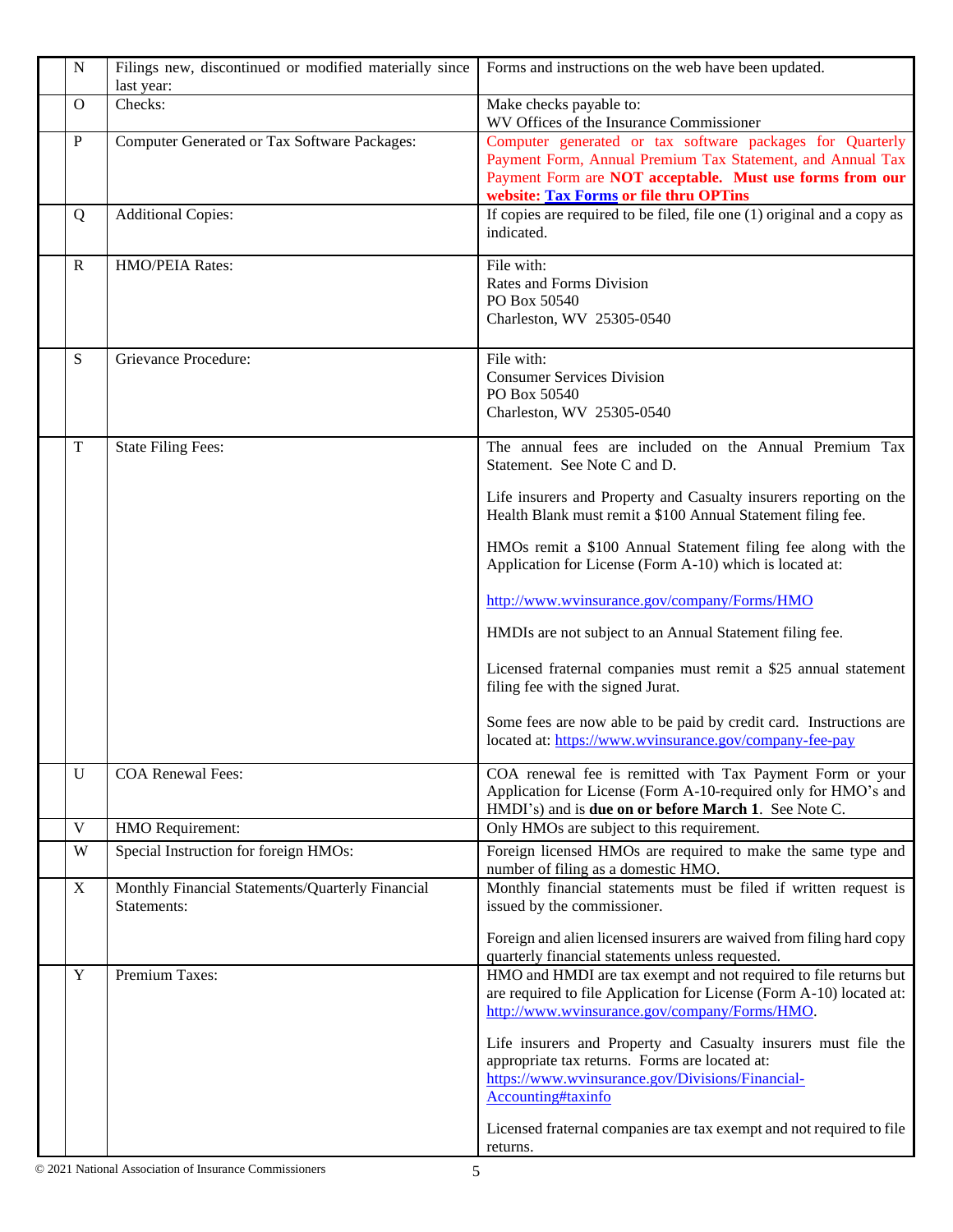| $\mathbf N$  | Filings new, discontinued or modified materially since<br>last year: | Forms and instructions on the web have been updated.                                                                                                                                                                          |
|--------------|----------------------------------------------------------------------|-------------------------------------------------------------------------------------------------------------------------------------------------------------------------------------------------------------------------------|
| $\mathbf{O}$ | Checks:                                                              | Make checks payable to:<br>WV Offices of the Insurance Commissioner                                                                                                                                                           |
| $\mathbf{P}$ | Computer Generated or Tax Software Packages:                         | Computer generated or tax software packages for Quarterly<br>Payment Form, Annual Premium Tax Statement, and Annual Tax<br>Payment Form are NOT acceptable. Must use forms from our<br>website: Tax Forms or file thru OPTins |
| Q            | <b>Additional Copies:</b>                                            | If copies are required to be filed, file one (1) original and a copy as<br>indicated.                                                                                                                                         |
| $\mathbb{R}$ | HMO/PEIA Rates:                                                      | File with:<br>Rates and Forms Division<br>PO Box 50540<br>Charleston, WV 25305-0540                                                                                                                                           |
| S            | Grievance Procedure:                                                 | File with:<br><b>Consumer Services Division</b><br>PO Box 50540<br>Charleston, WV 25305-0540                                                                                                                                  |
| $\mathbf T$  | <b>State Filing Fees:</b>                                            | The annual fees are included on the Annual Premium Tax<br>Statement. See Note C and D.                                                                                                                                        |
|              |                                                                      | Life insurers and Property and Casualty insurers reporting on the<br>Health Blank must remit a \$100 Annual Statement filing fee.                                                                                             |
|              |                                                                      | HMOs remit a \$100 Annual Statement filing fee along with the<br>Application for License (Form A-10) which is located at:                                                                                                     |
|              |                                                                      | http://www.wvinsurance.gov/company/Forms/HMO                                                                                                                                                                                  |
|              |                                                                      | HMDIs are not subject to an Annual Statement filing fee.                                                                                                                                                                      |
|              |                                                                      | Licensed fraternal companies must remit a \$25 annual statement<br>filing fee with the signed Jurat.                                                                                                                          |
|              |                                                                      | Some fees are now able to be paid by credit card. Instructions are<br>located at: https://www.wvinsurance.gov/company-fee-pay                                                                                                 |
| U            | COA Renewal Fees:                                                    | COA renewal fee is remitted with Tax Payment Form or your<br>Application for License (Form A-10-required only for HMO's and<br>HMDI's) and is <b>due on or before March 1</b> . See Note C.                                   |
| $\mathbf V$  | HMO Requirement:                                                     | Only HMOs are subject to this requirement.                                                                                                                                                                                    |
| W            | Special Instruction for foreign HMOs:                                | Foreign licensed HMOs are required to make the same type and<br>number of filing as a domestic HMO.                                                                                                                           |
| $\mathbf X$  | Monthly Financial Statements/Quarterly Financial<br>Statements:      | Monthly financial statements must be filed if written request is<br>issued by the commissioner.                                                                                                                               |
|              |                                                                      | Foreign and alien licensed insurers are waived from filing hard copy<br>quarterly financial statements unless requested.                                                                                                      |
| $\mathbf Y$  | Premium Taxes:                                                       | HMO and HMDI are tax exempt and not required to file returns but<br>are required to file Application for License (Form A-10) located at:<br>http://www.wvinsurance.gov/company/Forms/HMO.                                     |
|              |                                                                      | Life insurers and Property and Casualty insurers must file the<br>appropriate tax returns. Forms are located at:<br>https://www.wvinsurance.gov/Divisions/Financial-<br>Accounting#taxinfo                                    |
|              |                                                                      | Licensed fraternal companies are tax exempt and not required to file<br>returns.                                                                                                                                              |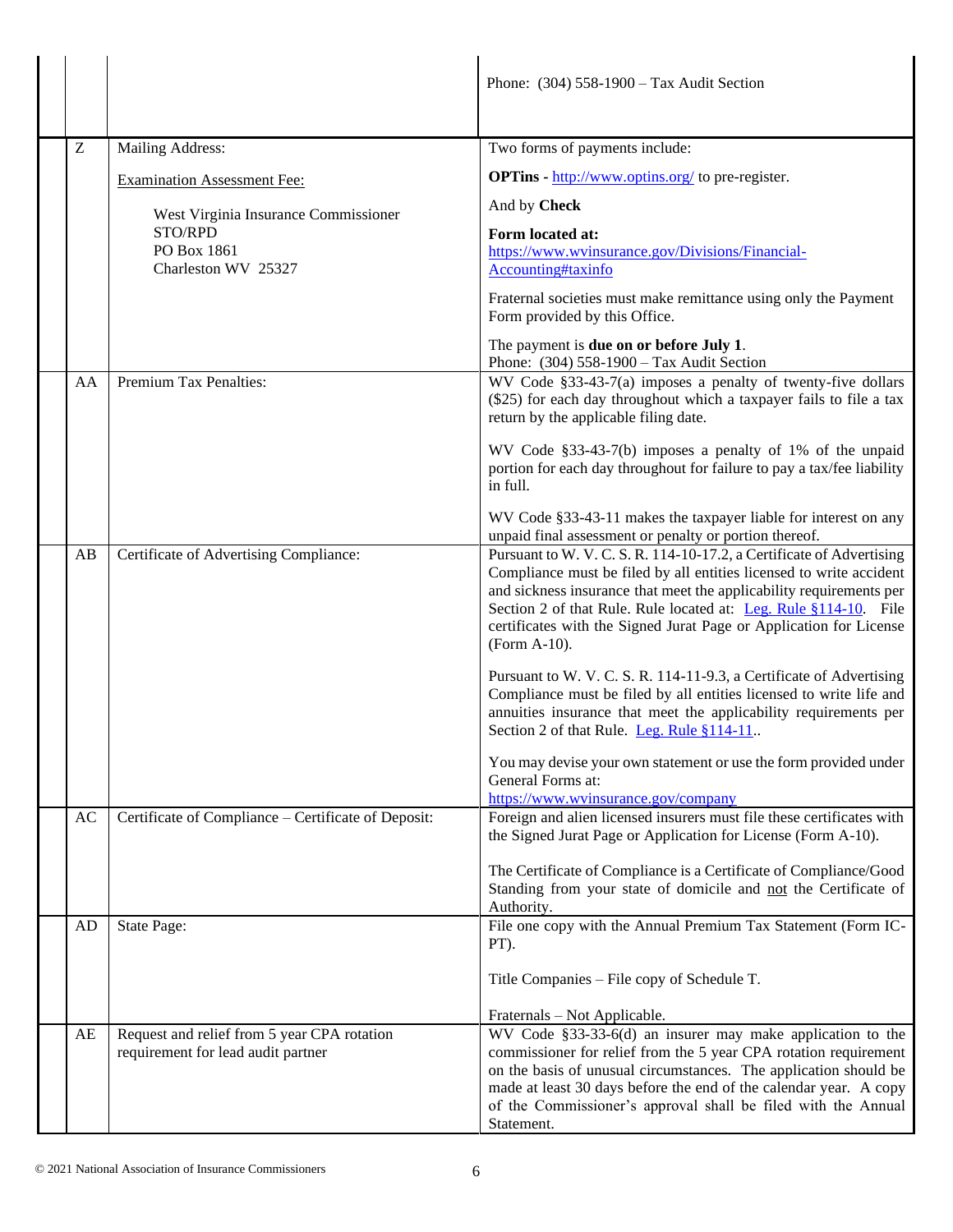|    |                                                                                   | Phone: $(304)$ 558-1900 – Tax Audit Section                                                                                                                                                                                                                                                                                                                                            |
|----|-----------------------------------------------------------------------------------|----------------------------------------------------------------------------------------------------------------------------------------------------------------------------------------------------------------------------------------------------------------------------------------------------------------------------------------------------------------------------------------|
| Z  | Mailing Address:                                                                  | Two forms of payments include:                                                                                                                                                                                                                                                                                                                                                         |
|    | <b>Examination Assessment Fee:</b>                                                | <b>OPTins</b> - http://www.optins.org/ to pre-register.                                                                                                                                                                                                                                                                                                                                |
|    | West Virginia Insurance Commissioner                                              | And by Check                                                                                                                                                                                                                                                                                                                                                                           |
|    | STO/RPD                                                                           | Form located at:                                                                                                                                                                                                                                                                                                                                                                       |
|    | PO Box 1861<br>Charleston WV 25327                                                | https://www.wvinsurance.gov/Divisions/Financial-<br>Accounting#taxinfo                                                                                                                                                                                                                                                                                                                 |
|    |                                                                                   | Fraternal societies must make remittance using only the Payment<br>Form provided by this Office.                                                                                                                                                                                                                                                                                       |
|    |                                                                                   | The payment is due on or before July 1.<br>Phone: (304) 558-1900 - Tax Audit Section                                                                                                                                                                                                                                                                                                   |
| AA | <b>Premium Tax Penalties:</b>                                                     | WV Code §33-43-7(a) imposes a penalty of twenty-five dollars<br>(\$25) for each day throughout which a taxpayer fails to file a tax<br>return by the applicable filing date.                                                                                                                                                                                                           |
|    |                                                                                   | WV Code §33-43-7(b) imposes a penalty of 1% of the unpaid<br>portion for each day throughout for failure to pay a tax/fee liability<br>in full.                                                                                                                                                                                                                                        |
|    |                                                                                   | WV Code §33-43-11 makes the taxpayer liable for interest on any<br>unpaid final assessment or penalty or portion thereof.                                                                                                                                                                                                                                                              |
| AB | Certificate of Advertising Compliance:                                            | Pursuant to W. V. C. S. R. 114-10-17.2, a Certificate of Advertising<br>Compliance must be filed by all entities licensed to write accident<br>and sickness insurance that meet the applicability requirements per<br>Section 2 of that Rule. Rule located at: Leg. Rule §114-10. File<br>certificates with the Signed Jurat Page or Application for License<br>(Form A-10).           |
|    |                                                                                   | Pursuant to W. V. C. S. R. 114-11-9.3, a Certificate of Advertising<br>Compliance must be filed by all entities licensed to write life and<br>annuities insurance that meet the applicability requirements per<br>Section 2 of that Rule. Leg. Rule §114-11.                                                                                                                           |
|    |                                                                                   | You may devise your own statement or use the form provided under<br>General Forms at:<br>https://www.wvinsurance.gov/company                                                                                                                                                                                                                                                           |
| AC | Certificate of Compliance - Certificate of Deposit:                               | Foreign and alien licensed insurers must file these certificates with<br>the Signed Jurat Page or Application for License (Form A-10).                                                                                                                                                                                                                                                 |
|    |                                                                                   | The Certificate of Compliance is a Certificate of Compliance/Good<br>Standing from your state of domicile and not the Certificate of<br>Authority.                                                                                                                                                                                                                                     |
| AD | State Page:                                                                       | File one copy with the Annual Premium Tax Statement (Form IC-<br>PT).                                                                                                                                                                                                                                                                                                                  |
|    |                                                                                   | Title Companies - File copy of Schedule T.                                                                                                                                                                                                                                                                                                                                             |
| AE | Request and relief from 5 year CPA rotation<br>requirement for lead audit partner | Fraternals - Not Applicable.<br>WV Code §33-33-6(d) an insurer may make application to the<br>commissioner for relief from the 5 year CPA rotation requirement<br>on the basis of unusual circumstances. The application should be<br>made at least 30 days before the end of the calendar year. A copy<br>of the Commissioner's approval shall be filed with the Annual<br>Statement. |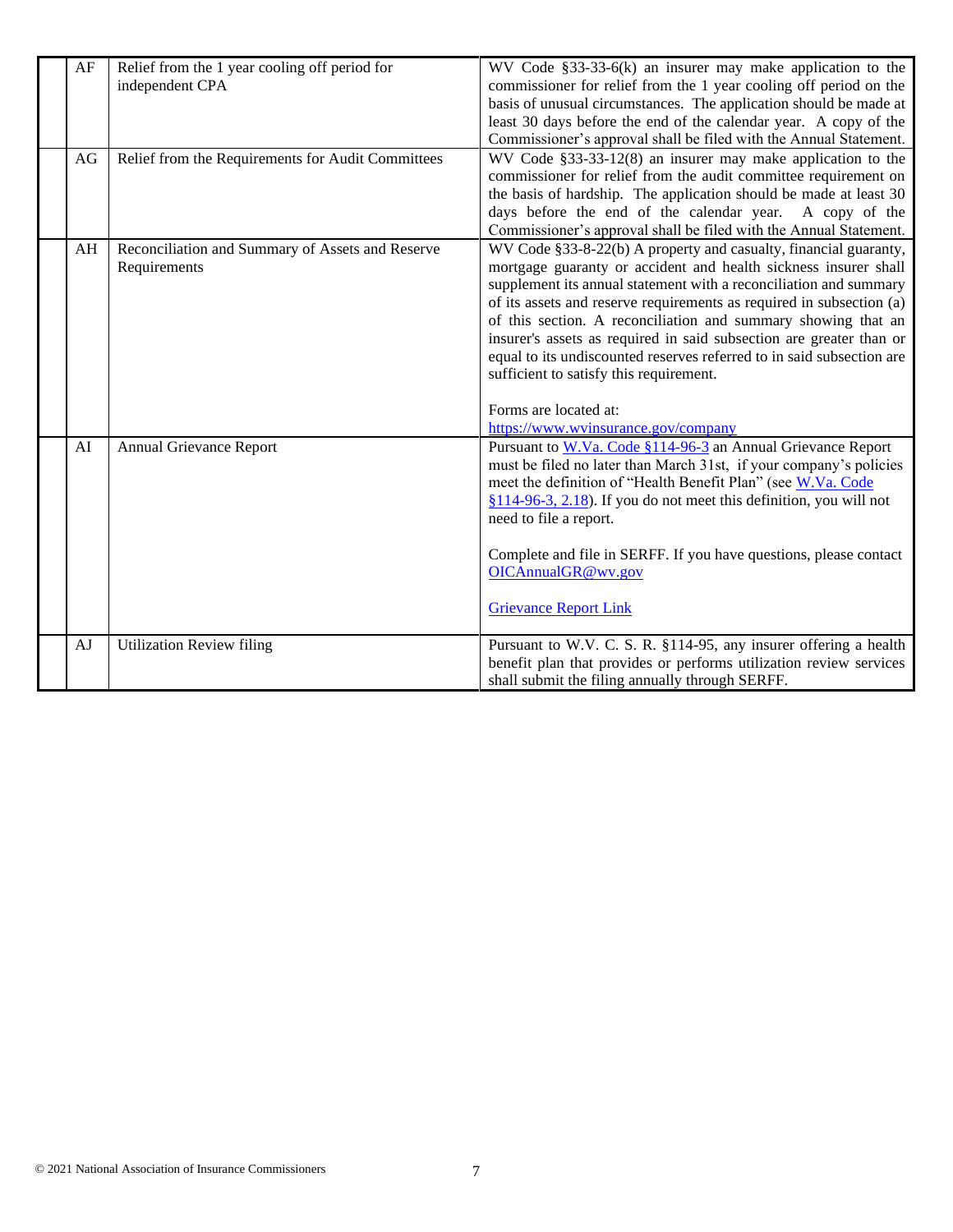| AF | Relief from the 1 year cooling off period for<br>independent CPA | WV Code $§$ 33-33-6(k) an insurer may make application to the<br>commissioner for relief from the 1 year cooling off period on the<br>basis of unusual circumstances. The application should be made at<br>least 30 days before the end of the calendar year. A copy of the<br>Commissioner's approval shall be filed with the Annual Statement.                                                                                                                                                                                                                                                             |
|----|------------------------------------------------------------------|--------------------------------------------------------------------------------------------------------------------------------------------------------------------------------------------------------------------------------------------------------------------------------------------------------------------------------------------------------------------------------------------------------------------------------------------------------------------------------------------------------------------------------------------------------------------------------------------------------------|
| AG | Relief from the Requirements for Audit Committees                | WV Code $\S 33-33-12(8)$ an insurer may make application to the<br>commissioner for relief from the audit committee requirement on<br>the basis of hardship. The application should be made at least 30<br>days before the end of the calendar year. A copy of the<br>Commissioner's approval shall be filed with the Annual Statement.                                                                                                                                                                                                                                                                      |
| AH | Reconciliation and Summary of Assets and Reserve<br>Requirements | WV Code §33-8-22(b) A property and casualty, financial guaranty,<br>mortgage guaranty or accident and health sickness insurer shall<br>supplement its annual statement with a reconciliation and summary<br>of its assets and reserve requirements as required in subsection (a)<br>of this section. A reconciliation and summary showing that an<br>insurer's assets as required in said subsection are greater than or<br>equal to its undiscounted reserves referred to in said subsection are<br>sufficient to satisfy this requirement.<br>Forms are located at:<br>https://www.wvinsurance.gov/company |
| AI | <b>Annual Grievance Report</b>                                   | Pursuant to W.Va. Code §114-96-3 an Annual Grievance Report<br>must be filed no later than March 31st, if your company's policies<br>meet the definition of "Health Benefit Plan" (see W.Va. Code<br>$§114-96-3$ , 2.18). If you do not meet this definition, you will not<br>need to file a report.<br>Complete and file in SERFF. If you have questions, please contact<br>OICAnnualGR@wv.gov<br><b>Grievance Report Link</b>                                                                                                                                                                              |
| AJ | <b>Utilization Review filing</b>                                 | Pursuant to W.V. C. S. R. §114-95, any insurer offering a health<br>benefit plan that provides or performs utilization review services<br>shall submit the filing annually through SERFF.                                                                                                                                                                                                                                                                                                                                                                                                                    |